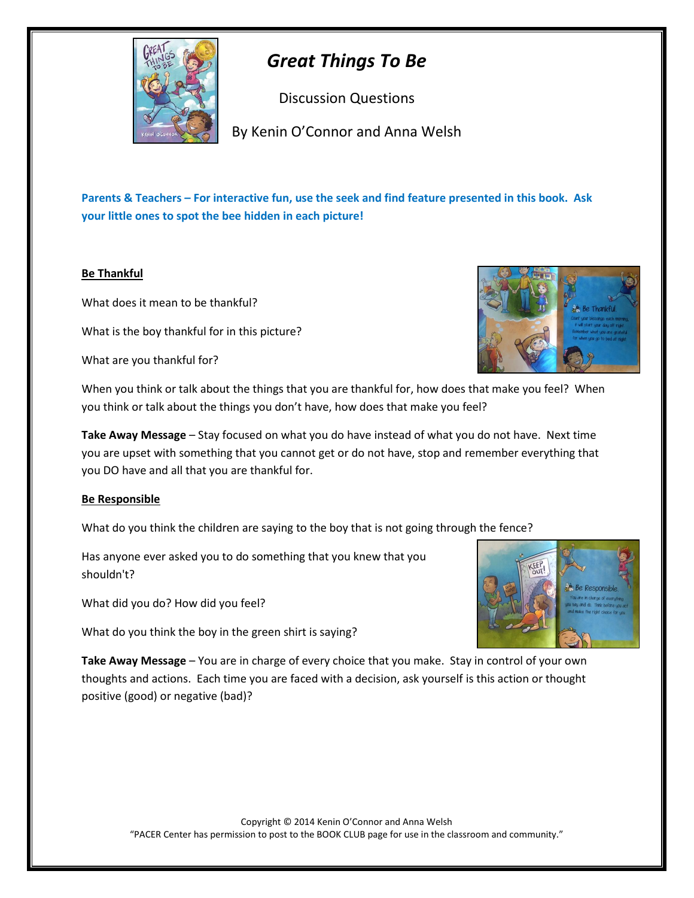

# *Great Things To Be*

Discussion Questions

By Kenin O'Connor and Anna Welsh

**Parents & Teachers – For interactive fun, use the seek and find feature presented in this book. Ask your little ones to spot the bee hidden in each picture!**

# **Be Thankful**

What does it mean to be thankful?

What is the boy thankful for in this picture?

What are you thankful for?



When you think or talk about the things that you are thankful for, how does that make you feel? When you think or talk about the things you don't have, how does that make you feel?

**Take Away Message** – Stay focused on what you do have instead of what you do not have. Next time you are upset with something that you cannot get or do not have, stop and remember everything that you DO have and all that you are thankful for.

## **Be Responsible**

What do you think the children are saying to the boy that is not going through the fence?

Has anyone ever asked you to do something that you knew that you shouldn't?

What did you do? How did you feel?

What do you think the boy in the green shirt is saying?



**Take Away Message** – You are in charge of every choice that you make. Stay in control of your own thoughts and actions. Each time you are faced with a decision, ask yourself is this action or thought positive (good) or negative (bad)?